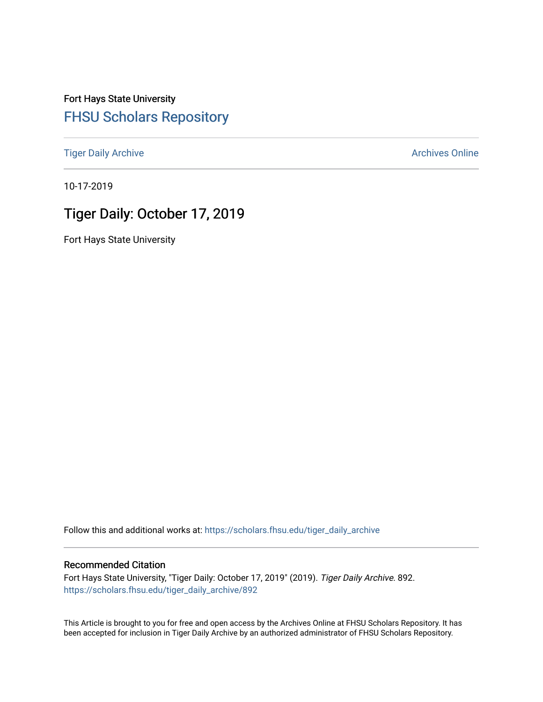Fort Hays State University [FHSU Scholars Repository](https://scholars.fhsu.edu/) 

[Tiger Daily Archive](https://scholars.fhsu.edu/tiger_daily_archive) **Archives** Online Archives Online

10-17-2019

# Tiger Daily: October 17, 2019

Fort Hays State University

Follow this and additional works at: [https://scholars.fhsu.edu/tiger\\_daily\\_archive](https://scholars.fhsu.edu/tiger_daily_archive?utm_source=scholars.fhsu.edu%2Ftiger_daily_archive%2F892&utm_medium=PDF&utm_campaign=PDFCoverPages)

#### Recommended Citation

Fort Hays State University, "Tiger Daily: October 17, 2019" (2019). Tiger Daily Archive. 892. [https://scholars.fhsu.edu/tiger\\_daily\\_archive/892](https://scholars.fhsu.edu/tiger_daily_archive/892?utm_source=scholars.fhsu.edu%2Ftiger_daily_archive%2F892&utm_medium=PDF&utm_campaign=PDFCoverPages)

This Article is brought to you for free and open access by the Archives Online at FHSU Scholars Repository. It has been accepted for inclusion in Tiger Daily Archive by an authorized administrator of FHSU Scholars Repository.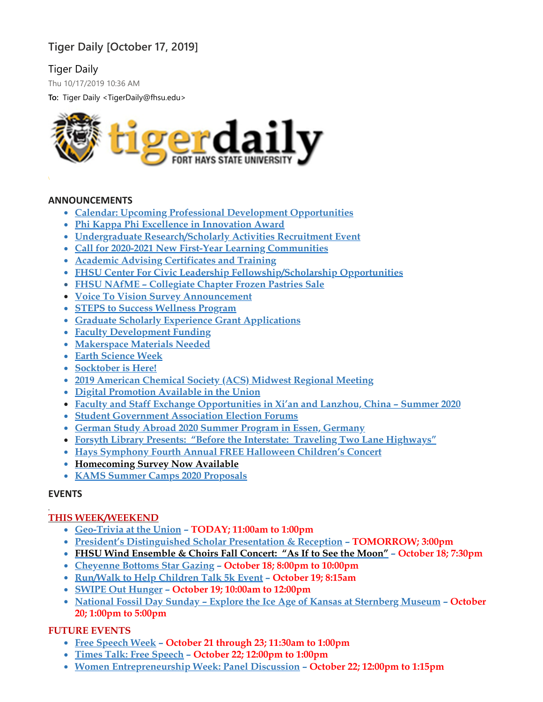# **Tiger Daily [October 17, 2019]**

# Tiger Daily

Thu 10/17/2019 10:36 AM

**To:** Tiger Daily <TigerDaily@fhsu.edu>



#### **ANNOUNCEMENTS**

- **Calendar: Upcoming Professional Development [Opportunities](#page-2-0)**
- **Phi Kappa Phi Excellence in [Innovation](#page-2-1) Award**
- **Undergraduate [Research/Scholarly](#page-2-2) Activities Recruitment Event**
- **Call for 2020-2021 New First-Year Learning [Communities](#page-3-0)**
- **Academic Advising [Certificates](#page-3-1) and Training**
- **FHSU Center For Civic Leadership [Fellowship/Scholarship](#page-4-0) Opportunities**
- **FHSU NAfME – [Collegiate](#page-4-1) Chapter Frozen Pastries Sale**
- **Voice To Vision Survey [Announcement](#page-5-0)**
- **STEPS to Success [Wellness](#page-5-1) Program**
- **Graduate Scholarly Experience Grant [Applications](#page-5-2)**
- **Faculty [Development](#page-5-3) Funding**
- **[Makerspace](#page-6-0) Materials Needed**
- **Earth [Science](#page-6-1) Week**
- **[Socktober](#page-6-2) is Here!**
- **2019 [American](#page-7-0) Chemical Society (ACS) Midwest Regional Meeting**
- **Digital [Promotion](#page-8-0) Available in the Union**
- **Faculty and Staff Exchange [Opportunities](#page-8-1) in Xi'an and Lanzhou, China – Summer 2020**
- **Student [Government](#page-9-0) Association Election Forums**
- **German Study Abroad 2020 Summer Program in Essen, [Germany](#page-9-1)**
- **Forsyth Library Presents: "Before the Interstate: Traveling Two Lane [Highways"](#page-9-2)**
- **Hays [Symphony](#page-9-3) Fourth Annual FREE Halloween Children's Concert**
- **[Homecoming](#page-10-0) Survey Now Available**
- **KAMS Summer Camps 2020 [Proposals](#page-10-1)**

# **EVENTS**

# **THIS WEEK/WEEKEND**

- **[Geo-Trivia](#page-10-2) at the Union – TODAY; 11:00am to 1:00pm**
- **President's [Distinguished](#page-10-3) Scholar Presentation & Reception – TOMORROW; 3:00pm**
- **FHSU Wind [Ensemble](#page-11-0) & Choirs Fall Concert: "As If to See the Moon" – October 18; 7:30pm**
- **[Cheyenne](#page-11-1) Bottoms Star Gazing – October 18; 8:00pm to 10:00pm**
- **[Run/Walk](#page-11-2) to Help Children Talk 5k Event – October 19; 8:15am**
- **SWIPE Out [Hunger](#page-11-3) – October 19; 10:00am to 12:00pm**
- **National Fossil Day Sunday – Explore the Ice Age of Kansas at [Sternberg](#page-12-0) Museum – October 20; 1:00pm to 5:00pm**

# **FUTURE EVENTS**

- **Free [Speech](#page-12-1) Week – October 21 through 23; 11:30am to 1:00pm**
- **Times Talk: Free [Speech](#page-12-2) – October 22; 12:00pm to 1:00pm**
- **Women [Entrepreneurship](#page-12-3) Week: Panel Discussion – October 22; 12:00pm to 1:15pm**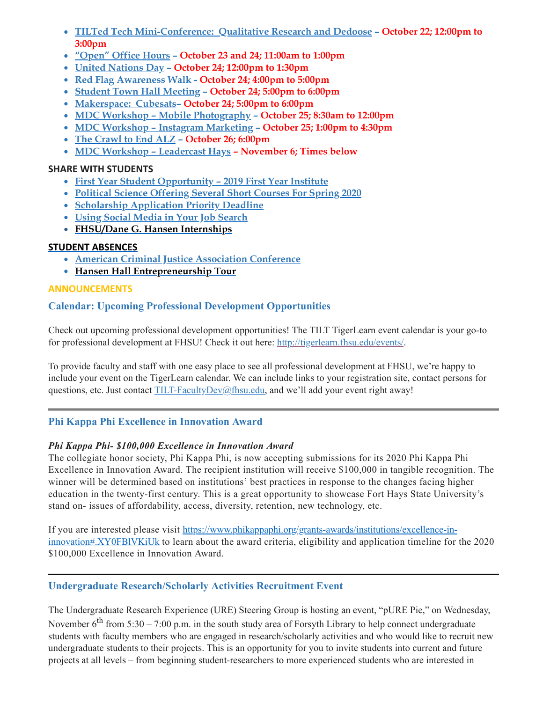- **TILTed Tech [Mini-Conference:](#page-12-4) Qualitative Research and Dedoose – October 22; 12:00pm to 3:00pm**
- **["Open"](#page-13-0) Office Hours – October 23 and 24; 11:00am to 1:00pm**
- **United [Nations](#page-13-1) Day – October 24; 12:00pm to 1:30pm**
- **Red Flag [Awareness](#page-13-2) Walk - October 24; 4:00pm to 5:00pm**
- **Student Town Hall [Meeting](#page-14-0) – October 24; 5:00pm to 6:00pm**
- **[Makerspace:](#page-14-1) Cubesats– October 24; 5:00pm to 6:00pm**
- **MDC Workshop – Mobile [Photography](#page-14-2) – October 25; 8:30am to 12:00pm**
- **MDC Workshop – Instagram [Marketing](#page-14-3) – October 25; 1:00pm to 4:30pm**
- **The [Crawl](#page-15-0) to End ALZ – October 26; 6:00pm**
- **MDC Workshop – [Leadercast](#page-15-1) Hays – November 6; Times below**

# **SHARE WITH STUDENTS**

- **First Year Student [Opportunity](#page-16-0) – 2019 First Year Institute**
- **Political Science [Offering](#page-16-1) Several Short Courses For Spring 2020**
- **Scholarship [Application](#page-16-2) Priority Deadline**
- **Using Social Media in Your Job [Search](#page-17-0)**
- **[FHSU/Dane](#page-17-1) G. Hansen Internships**

# **STUDENT ABSENCES**

- **American Criminal Justice [Association](#page-17-2) Conference**
- <span id="page-2-0"></span>**Hansen Hall [Entrepreneurship](#page-18-0) Tour**

# **ANNOUNCEMENTS**

# **Calendar: Upcoming Professional Development Opportunities**

Check out upcoming professional development opportunities! The TILT TigerLearn event calendar is your go-to for professional development at FHSU! Check it out here: [http://tigerlearn.fhsu.edu/events/.](http://tigerlearn.fhsu.edu/events/)

To provide faculty and staff with one easy place to see all professional development at FHSU, we're happy to include your event on the TigerLearn calendar. We can include links to your registration site, contact persons for questions, etc. Just contact [TILT-FacultyDev@fhsu.edu,](mailto:TILT-FacultyDev@fhsu.edu) and we'll add your event right away!

# <span id="page-2-1"></span>**Phi Kappa Phi Excellence in Innovation Award**

# *Phi Kappa Phi- \$100,000 Excellence in Innovation Award*

The collegiate honor society, Phi Kappa Phi, is now accepting submissions for its 2020 Phi Kappa Phi Excellence in Innovation Award. The recipient institution will receive \$100,000 in tangible recognition. The winner will be determined based on institutions' best practices in response to the changes facing higher education in the twenty-first century. This is a great opportunity to showcase Fort Hays State University's stand on- issues of affordability, access, diversity, retention, new technology, etc.

If you are interested please visit [https://www.phikappaphi.org/grants-awards/institutions/excellence-in](https://www.phikappaphi.org/grants-awards/institutions/excellence-in-innovation#.XY0FBlVKiUk)innovation#.XY0FBlVKiUk to learn about the award criteria, eligibility and application timeline for the 2020 \$100,000 Excellence in Innovation Award.

# <span id="page-2-2"></span>**Undergraduate Research/Scholarly Activities Recruitment Event**

The Undergraduate Research Experience (URE) Steering Group is hosting an event, "pURE Pie," on Wednesday, November  $6^{\text{th}}$  from 5:30 – 7:00 p.m. in the south study area of Forsyth Library to help connect undergraduate students with faculty members who are engaged in research/scholarly activities and who would like to recruit new undergraduate students to their projects. This is an opportunity for you to invite students into current and future projects at all levels – from beginning student-researchers to more experienced students who are interested in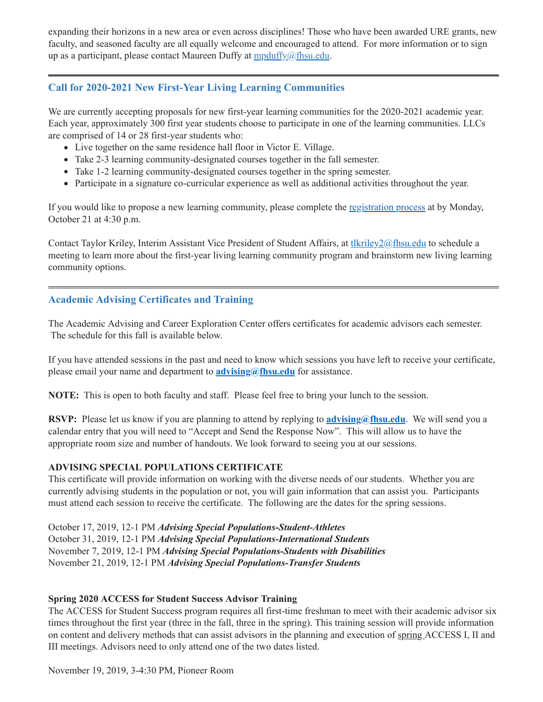expanding their horizons in a new area or even across disciplines! Those who have been awarded URE grants, new faculty, and seasoned faculty are all equally welcome and encouraged to attend. For more information or to sign up as a participant, please contact Maureen Duffy at  $\frac{m \cdot \text{p} d\xi}{m \cdot \text{p} d\xi}$ 

# **Call for 2020-2021 New First-Year Living Learning Communities**

We are currently accepting proposals for new first-year learning communities for the 2020-2021 academic year. Each year, approximately 300 first year students choose to participate in one of the learning communities. LLCs are comprised of 14 or 28 first-year students who:

- <span id="page-3-0"></span>Live together on the same residence hall floor in Victor E. Village.
- Take 2-3 learning community-designated courses together in the fall semester.
- Take 1-2 learning community-designated courses together in the spring semester.
- Participate in a signature co-curricular experience as well as additional activities throughout the year.

If you would like to propose a new learning community, please complete the [registration](https://tigerlink.fhsu.edu/submitter/form/start/350883) process at by Monday, October 21 at 4:30 p.m.

Contact Taylor Kriley, Interim Assistant Vice President of Student Affairs, at the student and to schedule a meeting to learn more about the first-year living learning community program and brainstorm new living learning community options.

# <span id="page-3-1"></span>**Academic Advising Certificates and Training**

The Academic Advising and Career Exploration Center offers certificates for academic advisors each semester. The schedule for this fall is available below.

If you have attended sessions in the past and need to know which sessions you have left to receive your certificate, please email your name and department to **[advising@fhsu.edu](mailto:advising@fhsu.edu)** for assistance.

**NOTE:** This is open to both faculty and staff. Please feel free to bring your lunch to the session.

**RSVP:** Please let us know if you are planning to attend by replying to **[advising@fhsu.edu](mailto:advising@fhsu.edu)**. We will send you a calendar entry that you will need to "Accept and Send the Response Now". This will allow us to have the appropriate room size and number of handouts. We look forward to seeing you at our sessions.

### **ADVISING SPECIAL POPULATIONS CERTIFICATE**

This certificate will provide information on working with the diverse needs of our students. Whether you are currently advising students in the population or not, you will gain information that can assist you. Participants must attend each session to receive the certificate. The following are the dates for the spring sessions.

October 17, 2019, 12-1 PM *Advising Special Populations-Student-Athletes* October 31, 2019, 12-1 PM *Advising Special Populations-International Students* November 7, 2019, 12-1 PM *Advising Special Populations-Students with Disabilities* November 21, 2019, 12-1 PM *Advising Special Populations-Transfer Students*

### **Spring 2020 ACCESS for Student Success Advisor Training**

The ACCESS for Student Success program requires all first-time freshman to meet with their academic advisor six times throughout the first year (three in the fall, three in the spring). This training session will provide information on content and delivery methods that can assist advisors in the planning and execution of spring ACCESS I, II and III meetings. Advisors need to only attend one of the two dates listed.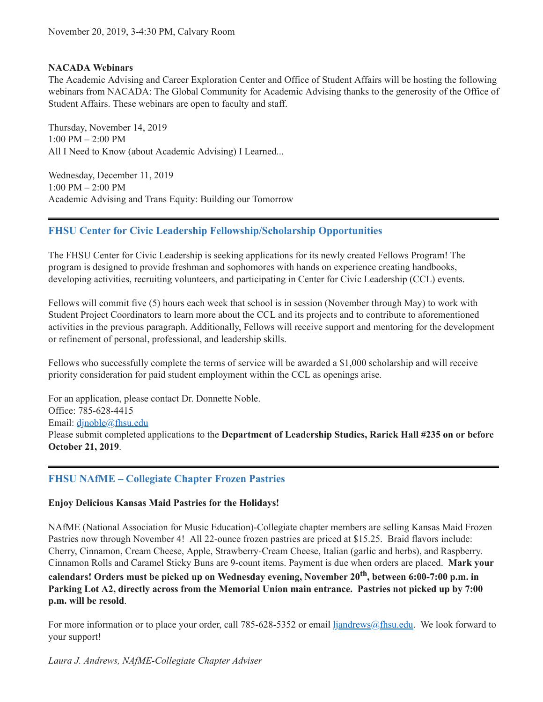#### **NACADA Webinars**

The Academic Advising and Career Exploration Center and Office of Student Affairs will be hosting the following webinars from NACADA: The Global Community for Academic Advising thanks to the generosity of the Office of Student Affairs. These webinars are open to faculty and staff.

Thursday, November 14, 2019 1:00 PM – 2:00 PM All I Need to Know (about Academic Advising) I Learned...

Wednesday, December 11, 2019 1:00 PM – 2:00 PM Academic Advising and Trans Equity: Building our Tomorrow

### <span id="page-4-0"></span>**FHSU Center for Civic Leadership Fellowship/Scholarship Opportunities**

The FHSU Center for Civic Leadership is seeking applications for its newly created Fellows Program! The program is designed to provide freshman and sophomores with hands on experience creating handbooks, developing activities, recruiting volunteers, and participating in Center for Civic Leadership (CCL) events.

Fellows will commit five (5) hours each week that school is in session (November through May) to work with Student Project Coordinators to learn more about the CCL and its projects and to contribute to aforementioned activities in the previous paragraph. Additionally, Fellows will receive support and mentoring for the development or refinement of personal, professional, and leadership skills.

Fellows who successfully complete the terms of service will be awarded a \$1,000 scholarship and will receive priority consideration for paid student employment within the CCL as openings arise.

For an application, please contact Dr. Donnette Noble. Office: 785-628-4415 Email: dinoble@fhsu.edu Please submit completed applications to the **Department of Leadership Studies, Rarick Hall #235 on or before October 21, 2019**.

# <span id="page-4-1"></span>**FHSU NAfME – Collegiate Chapter Frozen Pastries**

#### **Enjoy Delicious Kansas Maid Pastries for the Holidays!**

NAfME (National Association for Music Education)-Collegiate chapter members are selling Kansas Maid Frozen Pastries now through November 4! All 22-ounce frozen pastries are priced at \$15.25. Braid flavors include: Cherry, Cinnamon, Cream Cheese, Apple, Strawberry-Cream Cheese, Italian (garlic and herbs), and Raspberry. Cinnamon Rolls and Caramel Sticky Buns are 9-count items. Payment is due when orders are placed. **Mark your calendars! Orders must be picked up on Wednesday evening, November 20 th , between 6:00-7:00 p.m. in Parking Lot A2, directly across from the Memorial Union main entrance. Pastries not picked up by 7:00 p.m. will be resold**.

For more information or to place your order, call 785-628-5352 or email [ljandrews@fhsu.edu.](mailto:ljandrews@fhsu.edu) We look forward to your support!

*Laura J. Andrews, NAfME-Collegiate Chapter Adviser*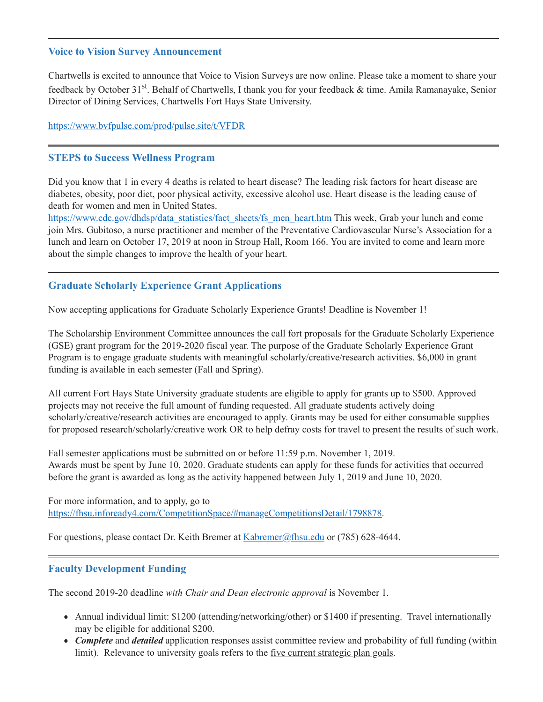#### <span id="page-5-0"></span>**Voice to Vision Survey Announcement**

Chartwells is excited to announce that Voice to Vision Surveys are now online. Please take a moment to share your feedback by October 31<sup>st</sup>. Behalf of Chartwells, I thank you for your feedback & time. Amila Ramanayake, Senior Director of Dining Services, Chartwells Fort Hays State University.

#### [https://www.bvfpulse.com/prod/pulse.site/t/VFDR](https://linkprotect.cudasvc.com/url?a=https%3a%2f%2fwww.bvfpulse.com%2fprod%2fpulse.site%2ft%2fVFDR&c=E,1,iVqQKXLUhqgrui_Iz1Wezy7b9M_A9AoUaW17OT4gxIkVeVRTJxZ8P0Ahv246SkHZxwdovYFFUUDQZVzQSYvlatCbydiXCEsL4dyEbeHxPuF3QL4ibI6R&typo=1)

#### <span id="page-5-1"></span>**STEPS to Success Wellness Program**

Did you know that 1 in every 4 deaths is related to heart disease? The leading risk factors for heart disease are diabetes, obesity, poor diet, poor physical activity, excessive alcohol use. Heart disease is the leading cause of death for women and men in United States.

[https://www.cdc.gov/dhdsp/data\\_statistics/fact\\_sheets/fs\\_men\\_heart.htm](https://www.cdc.gov/dhdsp/data_statistics/fact_sheets/fs_men_heart.htm) This week, Grab your lunch and come join Mrs. Gubitoso, a nurse practitioner and member of the Preventative Cardiovascular Nurse's Association for a lunch and learn on October 17, 2019 at noon in Stroup Hall, Room 166. You are invited to come and learn more about the simple changes to improve the health of your heart.

### <span id="page-5-2"></span>**Graduate Scholarly Experience Grant Applications**

Now accepting applications for Graduate Scholarly Experience Grants! Deadline is November 1!

The Scholarship Environment Committee announces the call fort proposals for the Graduate Scholarly Experience (GSE) grant program for the 2019-2020 fiscal year. The purpose of the Graduate Scholarly Experience Grant Program is to engage graduate students with meaningful scholarly/creative/research activities. \$6,000 in grant funding is available in each semester (Fall and Spring).

All current Fort Hays State University graduate students are eligible to apply for grants up to \$500. Approved projects may not receive the full amount of funding requested. All graduate students actively doing scholarly/creative/research activities are encouraged to apply. Grants may be used for either consumable supplies for proposed research/scholarly/creative work OR to help defray costs for travel to present the results of such work.

Fall semester applications must be submitted on or before 11:59 p.m. November 1, 2019. Awards must be spent by June 10, 2020. Graduate students can apply for these funds for activities that occurred before the grant is awarded as long as the activity happened between July 1, 2019 and June 10, 2020.

For more information, and to apply, go to [https://fhsu.infoready4.com/CompetitionSpace/#manageCompetitionsDetail/1798878.](https://fhsu.infoready4.com/CompetitionSpace/#manageCompetitionsDetail/1798878)

For questions, please contact Dr. Keith Bremer at [Kabremer@fhsu.edu](mailto:Kabremer@fhsu.edu) or (785) 628-4644.

### <span id="page-5-3"></span>**Faculty Development Funding**

The second 2019-20 deadline *with Chair and Dean electronic approval* is November 1.

- Annual individual limit: \$1200 (attending/networking/other) or \$1400 if presenting. Travel internationally may be eligible for additional \$200.
- *Complete* and *detailed* application responses assist committee review and probability of full funding (within limit). Relevance to university goals refers to the <u>five current strategic plan goals</u>.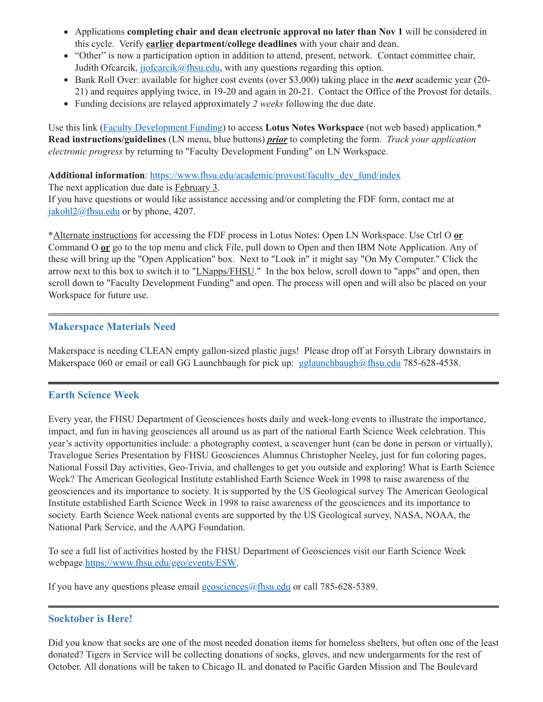- Applications **completing chair and dean electronic approval no later than Nov 1** will be considered in this cycle. Verify **earlier department/college deadlines** with your chair and dean.
- "Other" is now a participation option in addition to attend, present, network. Contact committee chair, Judith Ofcarcik,  $ij\delta$  flats is equivalently via the any questions regarding this option.
- Bank Roll Over: available for higher cost events (over \$3,000) taking place in the *next* academic year (20- 21) and requires applying twice, in 19-20 and again in 20-21. Contact the Office of the Provost for details.
- Funding decisions are relayed approximately *2 weeks* following the due date.

Use this link (Faculty [Development](notes://LNapps/86257474006926D5) Funding) to access **Lotus Notes Workspace** (not web based) application.**\* Read instructions/guidelines** (LN menu, blue buttons) *prior* to completing the form. *Track your application electronic progress* by returning to "Faculty Development Funding" on LN Workspace.

**Additional information**: [https://www.fhsu.edu/academic/provost/faculty\\_dev\\_fund/index](https://www.fhsu.edu/academic/provost/faculty_dev_fund/index)

The next application due date is February 3.

If you have questions or would like assistance accessing and/or completing the FDF form, contact me at [jakohl2@fhsu.edu](mailto:jakohl2@fhsu.edu) or by phone, 4207.

**\***Alternate instructions for accessing the FDF process in Lotus Notes: Open LN Workspace. Use Ctrl O **or** Command O **or** go to the top menu and click File, pull down to Open and then IBM Note Application. Any of these will bring up the "Open Application" box. Next to "Look in" it might say "On My Computer." Click the arrow next to this box to switch it to "*LNapps/FHSU*." In the box below, scroll down to "apps" and open, then scroll down to "Faculty Development Funding" and open. The process will open and will also be placed on your Workspace for future use.

### <span id="page-6-0"></span>**Makerspace Materials Need**

Makerspace is needing CLEAN empty gallon-sized plastic jugs! Please drop off at Forsyth Library downstairs in Makerspace 060 or email or call GG Launchbaugh for pick up:  $g$ glaunchbaugh@fhsu.edu 785-628-4538.

# <span id="page-6-1"></span>**Earth Science Week**

Every year, the FHSU Department of Geosciences hosts daily and week-long events to illustrate the importance, impact, and fun in having geosciences all around us as part of the national Earth Science Week celebration. This year's activity opportunities include: a photography contest, a scavenger hunt (can be done in person or virtually), Travelogue Series Presentation by FHSU Geosciences Alumnus Christopher Neeley, just for fun coloring pages, National Fossil Day activities, Geo-Trivia, and challenges to get you outside and exploring! What is Earth Science Week? The American Geological Institute established Earth Science Week in 1998 to raise awareness of the geosciences and its importance to society. It is supported by the US Geological survey The American Geological Institute established Earth Science Week in 1998 to raise awareness of the geosciences and its importance to society. Earth Science Week national events are supported by the US Geological survey, NASA, NOAA, the National Park Service, and the AAPG Foundation.

To see a full list of activities hosted by the FHSU Department of Geosciences visit our Earth Science Week webpage [https://www.fhsu.edu/geo/events/ESW.](https://www.fhsu.edu/geo/events/ESW)

If you have any questions please email  $g$ eosciences $\omega$ fhsu.edu or call 785-628-5389.

### <span id="page-6-2"></span>**Socktober is Here!**

Did you know that socks are one of the most needed donation items for homeless shelters, but often one of the least donated? Tigers in Service will be collecting donations of socks, gloves, and new undergarments for the rest of October. All donations will be taken to Chicago IL and donated to Pacific Garden Mission and The Boulevard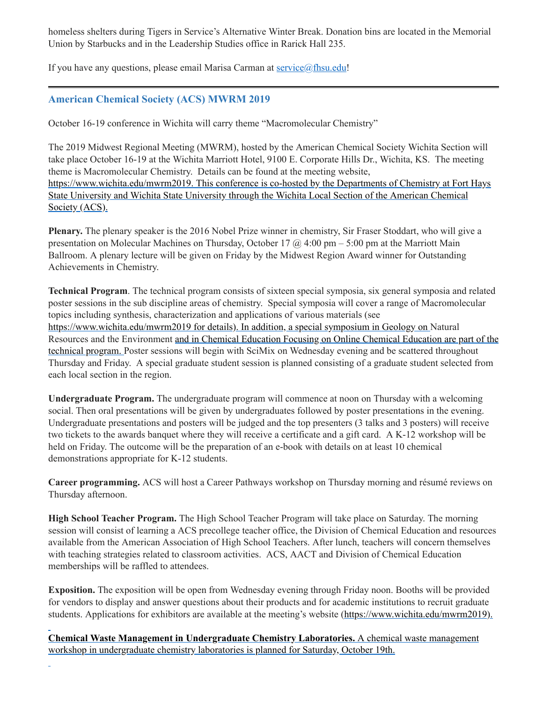homeless shelters during Tigers in Service's Alternative Winter Break. Donation bins are located in the Memorial Union by Starbucks and in the Leadership Studies office in Rarick Hall 235.

If you have any questions, please email Marisa Carman at [service@fhsu.edu!](mailto:service@fhsu.edu)

### <span id="page-7-0"></span>**American Chemical Society (ACS) MWRM 2019**

October 16-19 conference in Wichita will carry theme "Macromolecular Chemistry"

The 2019 Midwest Regional Meeting (MWRM), hosted by the American Chemical Society Wichita Section will take place October 16-19 at the Wichita Marriott Hotel, 9100 E. Corporate Hills Dr., Wichita, KS. The meeting theme is Macromolecular Chemistry. Details can be found at the meeting website, [https://www.wichita.edu/mwrm2019.](https://www.wichita.edu/mwrm2019) This conference is co-hosted by the Departments of Chemistry at Fort Hays State University and Wichita State University through the Wichita Local Section of the American Chemical Society (ACS).

**Plenary.** The plenary speaker is the 2016 Nobel Prize winner in chemistry, Sir Fraser Stoddart, who will give a presentation on Molecular Machines on Thursday, October 17  $\omega$  4:00 pm – 5:00 pm at the Marriott Main Ballroom. A plenary lecture will be given on Friday by the Midwest Region Award winner for Outstanding Achievements in Chemistry.

**Technical Program**. The technical program consists of sixteen special symposia, six general symposia and related poster sessions in the sub discipline areas of chemistry. Special symposia will cover a range of Macromolecular topics including synthesis, characterization and applications of various materials (see <https://www.wichita.edu/mwrm2019> for details). In addition, a special symposium in Geology on Natural Resources and the Environment and in Chemical Education Focusing on Online Chemical Education are part of the technical program. Poster sessions will begin with SciMix on Wednesday evening and be scattered throughout Thursday and Friday. A special graduate student session is planned consisting of a graduate student selected from each local section in the region.

**Undergraduate Program.** The undergraduate program will commence at noon on Thursday with a welcoming social. Then oral presentations will be given by undergraduates followed by poster presentations in the evening. Undergraduate presentations and posters will be judged and the top presenters (3 talks and 3 posters) will receive two tickets to the awards banquet where they will receive a certificate and a gift card. A K-12 workshop will be held on Friday. The outcome will be the preparation of an e-book with details on at least 10 chemical demonstrations appropriate for K-12 students.

**Career programming.** ACS will host a Career Pathways workshop on Thursday morning and résumé reviews on Thursday afternoon.

**High School Teacher Program.** The High School Teacher Program will take place on Saturday. The morning session will consist of learning a ACS precollege teacher office, the Division of Chemical Education and resources available from the American Association of High School Teachers. After lunch, teachers will concern themselves with teaching strategies related to classroom activities. ACS, AACT and Division of Chemical Education memberships will be raffled to attendees.

**Exposition.** The exposition will be open from Wednesday evening through Friday noon. Booths will be provided for vendors to display and answer questions about their products and for academic institutions to recruit graduate students. Applications for exhibitors are available at the meeting's website [\(https://www.wichita.edu/mwrm2019\)](https://www.wichita.edu/mwrm2019).

**Chemical Waste Management in Undergraduate Chemistry Laboratories.** A chemical waste management workshop in undergraduate chemistry laboratories is planned for Saturday, October 19th.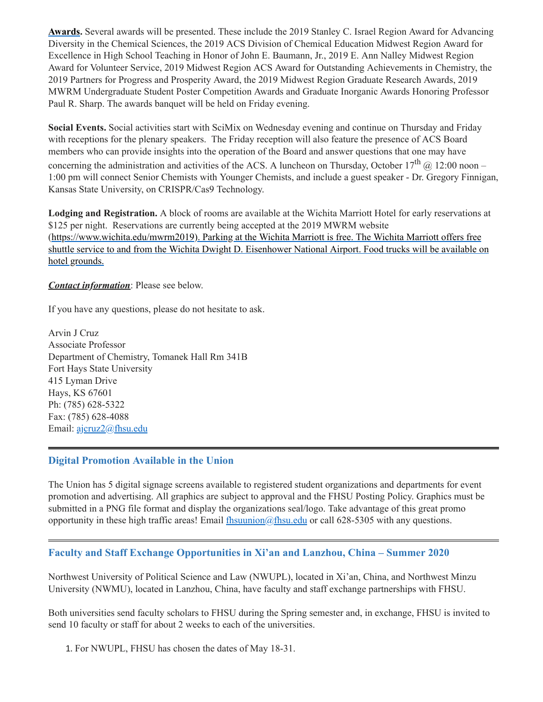**Awards.** Several awards will be presented. These include the 2019 Stanley C. Israel Region Award for Advancing Diversity in the Chemical Sciences, the 2019 ACS Division of Chemical Education Midwest Region Award for Excellence in High School Teaching in Honor of John E. Baumann, Jr., 2019 E. Ann Nalley Midwest Region Award for Volunteer Service, 2019 Midwest Region ACS Award for Outstanding Achievements in Chemistry, the 2019 Partners for Progress and Prosperity Award, the 2019 Midwest Region Graduate Research Awards, 2019 MWRM Undergraduate Student Poster Competition Awards and Graduate Inorganic Awards Honoring Professor Paul R. Sharp. The awards banquet will be held on Friday evening.

**Social Events.** Social activities start with SciMix on Wednesday evening and continue on Thursday and Friday with receptions for the plenary speakers. The Friday reception will also feature the presence of ACS Board members who can provide insights into the operation of the Board and answer questions that one may have concerning the administration and activities of the ACS. A luncheon on Thursday, October 17<sup>th</sup> @ 12:00 noon – 1:00 pm will connect Senior Chemists with Younger Chemists, and include a guest speaker - Dr. Gregory Finnigan, Kansas State University, on CRISPR/Cas9 Technology.

**Lodging and Registration.** A block of rooms are available at the Wichita Marriott Hotel for early reservations at \$125 per night. Reservations are currently being accepted at the 2019 MWRM website [\(](https://www.google.com/url?sa=t&rct=j&q=&esrc=s&source=web&cd=1&cad=rja&uact=8&ved=2ahUKEwjY-p71ldrhAhUQVK0KHUzwB9QQFjAAegQIBhAD&url=https%3A%2F%2Fwww.flywichita.com%2F&usg=AOvVaw27lLjJA6Gc2r8F-ePN7jp6)<https://www.wichita.edu/mwrm2019>[\).](https://www.google.com/url?sa=t&rct=j&q=&esrc=s&source=web&cd=1&cad=rja&uact=8&ved=2ahUKEwjY-p71ldrhAhUQVK0KHUzwB9QQFjAAegQIBhAD&url=https%3A%2F%2Fwww.flywichita.com%2F&usg=AOvVaw27lLjJA6Gc2r8F-ePN7jp6) Parking at the Wichita Marriott is free. The Wichita Marriott offers free shuttle service to and from the Wichita Dwight D. Eisenhower National Airport. Food trucks will be available on hotel grounds.

*Contact information*: Please see below.

If you have any questions, please do not hesitate to ask.

Arvin J Cruz Associate Professor Department of Chemistry, Tomanek Hall Rm 341B Fort Hays State University 415 Lyman Drive Hays, KS 67601 Ph: (785) 628-5322 Fax: (785) 628-4088 Email: [ajcruz2@fhsu.edu](mailto:ajcruz2@fhsu.edu)

### <span id="page-8-0"></span>**Digital Promotion Available in the Union**

The Union has 5 digital signage screens available to registered student organizations and departments for event promotion and advertising. All graphics are subject to approval and the FHSU Posting Policy. Graphics must be submitted in a PNG file format and display the organizations seal/logo. Take advantage of this great promo opportunity in these high traffic areas! Email  $\frac{f$ hsuunion $\omega$ fhsu.edu or call 628-5305 with any questions.

# <span id="page-8-1"></span>**Faculty and Staff Exchange Opportunities in Xi'an and Lanzhou, China – Summer 2020**

Northwest University of Political Science and Law (NWUPL), located in Xi'an, China, and Northwest Minzu University (NWMU), located in Lanzhou, China, have faculty and staff exchange partnerships with FHSU.

Both universities send faculty scholars to FHSU during the Spring semester and, in exchange, FHSU is invited to send 10 faculty or staff for about 2 weeks to each of the universities.

1. For NWUPL, FHSU has chosen the dates of May 18-31.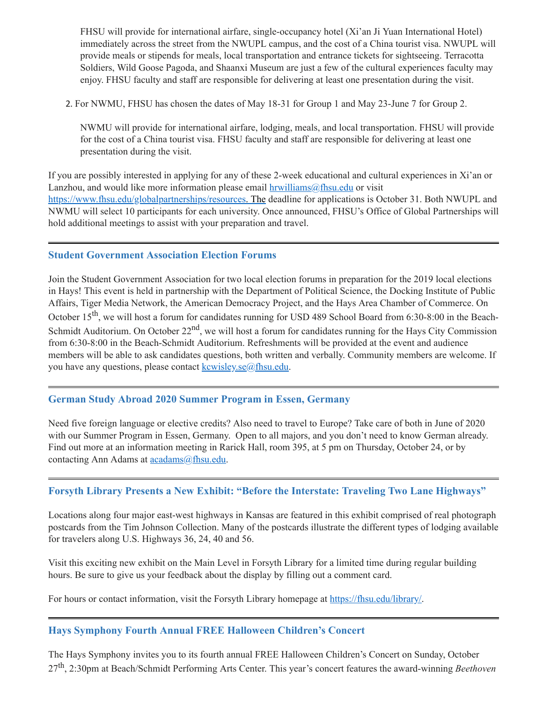FHSU will provide for international airfare, single-occupancy hotel (Xi'an Ji Yuan International Hotel) immediately across the street from the NWUPL campus, and the cost of a China tourist visa. NWUPL will provide meals or stipends for meals, local transportation and entrance tickets for sightseeing. Terracotta Soldiers, Wild Goose Pagoda, and Shaanxi Museum are just a few of the cultural experiences faculty may enjoy. FHSU faculty and staff are responsible for delivering at least one presentation during the visit.

2. For NWMU, FHSU has chosen the dates of May 18-31 for Group 1 and May 23-June 7 for Group 2.

NWMU will provide for international airfare, lodging, meals, and local transportation. FHSU will provide for the cost of a China tourist visa. FHSU faculty and staff are responsible for delivering at least one presentation during the visit.

If you are possibly interested in applying for any of these 2-week educational and cultural experiences in Xi'an or Lanzhou, and would like more information please email [hrwilliams@fhsu.edu](mailto:hrwilliams@fhsu.edu) or visit <https://www.fhsu.edu/globalpartnerships/resources>. The deadline for applications is October 31. Both NWUPL and NWMU will select 10 participants for each university. Once announced, FHSU's Office of Global Partnerships will hold additional meetings to assist with your preparation and travel.

### <span id="page-9-0"></span>**Student Government Association Election Forums**

Join the Student Government Association for two local election forums in preparation for the 2019 local elections in Hays! This event is held in partnership with the Department of Political Science, the Docking Institute of Public Affairs, Tiger Media Network, the American Democracy Project, and the Hays Area Chamber of Commerce. On October 15<sup>th</sup>, we will host a forum for candidates running for USD 489 School Board from 6:30-8:00 in the Beach-Schmidt Auditorium. On October 22<sup>nd</sup>, we will host a forum for candidates running for the Hays City Commission from 6:30-8:00 in the Beach-Schmidt Auditorium. Refreshments will be provided at the event and audience members will be able to ask candidates questions, both written and verbally. Community members are welcome. If you have any questions, please contact  $k$ cwisley.se $@$ fhsu.edu.

### <span id="page-9-1"></span>**German Study Abroad 2020 Summer Program in Essen, Germany**

Need five foreign language or elective credits? Also need to travel to Europe? Take care of both in June of 2020 with our Summer Program in Essen, Germany. Open to all majors, and you don't need to know German already. Find out more at an information meeting in Rarick Hall, room 395, at 5 pm on Thursday, October 24, or by contacting Ann Adams at [acadams@fhsu.edu.](mailto:acadams@fhsu.edu)

### <span id="page-9-2"></span>**Forsyth Library Presents a New Exhibit: "Before the Interstate: Traveling Two Lane Highways"**

Locations along four major east-west highways in Kansas are featured in this exhibit comprised of real photograph postcards from the Tim Johnson Collection. Many of the postcards illustrate the different types of lodging available for travelers along U.S. Highways 36, 24, 40 and 56.

Visit this exciting new exhibit on the Main Level in Forsyth Library for a limited time during regular building hours. Be sure to give us your feedback about the display by filling out a comment card.

For hours or contact information, visit the Forsyth Library homepage at <https://fhsu.edu/library/>.

### <span id="page-9-3"></span>**Hays Symphony Fourth Annual FREE Halloween Children's Concert**

The Hays Symphony invites you to its fourth annual FREE Halloween Children's Concert on Sunday, October 27 th , 2:30pm at Beach/Schmidt Performing Arts Center. This year's concert features the award-winning *Beethoven*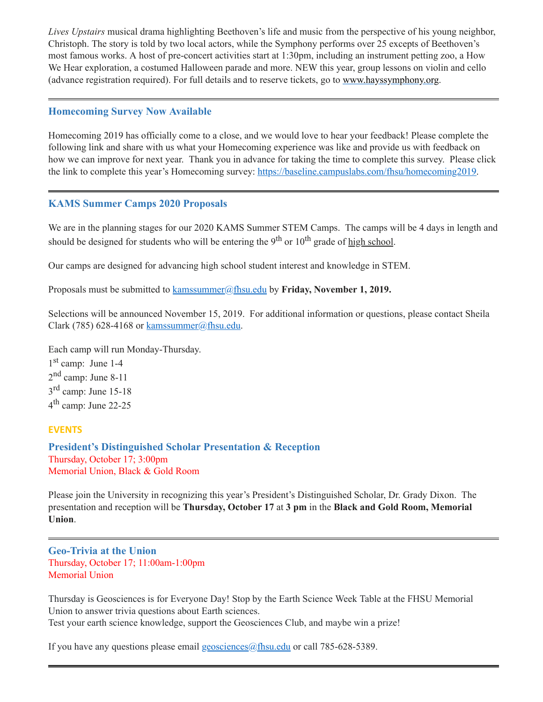*Lives Upstairs* musical drama highlighting Beethoven's life and music from the perspective of his young neighbor, Christoph. The story is told by two local actors, while the Symphony performs over 25 excepts of Beethoven's most famous works. A host of pre-concert activities start at 1:30pm, including an instrument petting zoo, a How We Hear exploration, a costumed Halloween parade and more. NEW this year, group lessons on violin and cello (advance registration required). For full details and to reserve tickets, go to [www.hayssymphony.org.](http://www.hayssymphony.org/)

### <span id="page-10-0"></span>**Homecoming Survey Now Available**

Homecoming 2019 has officially come to a close, and we would love to hear your feedback! Please complete the following link and share with us what your Homecoming experience was like and provide us with feedback on how we can improve for next year. Thank you in advance for taking the time to complete this survey. Please click the link to complete this year's Homecoming survey: [https://baseline.campuslabs.com/fhsu/homecoming2019.](https://baseline.campuslabs.com/fhsu/homecoming2019)

### <span id="page-10-1"></span>**KAMS Summer Camps 2020 Proposals**

We are in the planning stages for our 2020 KAMS Summer STEM Camps. The camps will be 4 days in length and should be designed for students who will be entering the 9<sup>th</sup> or 10<sup>th</sup> grade of <u>high school</u>.

Our camps are designed for advancing high school student interest and knowledge in STEM.

Proposals must be submitted to [kamssummer@fhsu.edu](mailto:kamssummer@fhsu.edu) by **Friday, November 1, 2019.**

Selections will be announced November 15, 2019. For additional information or questions, please contact Sheila Clark (785) 628-4168 or  $k$ amssummer@fhsu.edu.

Each camp will run Monday-Thursday.

1 st camp: June 1-4 2<sup>nd</sup> camp: June 8-11 3<sup>rd</sup> camp: June 15-18 4<sup>th</sup> camp: June 22-25

# **EVENTS**

<span id="page-10-3"></span>**President's Distinguished Scholar Presentation & Reception** Thursday, October 17; 3:00pm Memorial Union, Black & Gold Room

Please join the University in recognizing this year's President's Distinguished Scholar, Dr. Grady Dixon. The presentation and reception will be **Thursday, October 17** at **3 pm** in the **Black and Gold Room, Memorial Union**.

<span id="page-10-2"></span>**Geo-Trivia at the Union** Thursday, October 17; 11:00am-1:00pm Memorial Union

Thursday is Geosciences is for Everyone Day! Stop by the Earth Science Week Table at the FHSU Memorial Union to answer trivia questions about Earth sciences. Test your earth science knowledge, support the Geosciences Club, and maybe win a prize!

If you have any questions please email [geosciences@fhsu.edu](mailto:geosciences@fhsu.edu) or call 785-628-5389.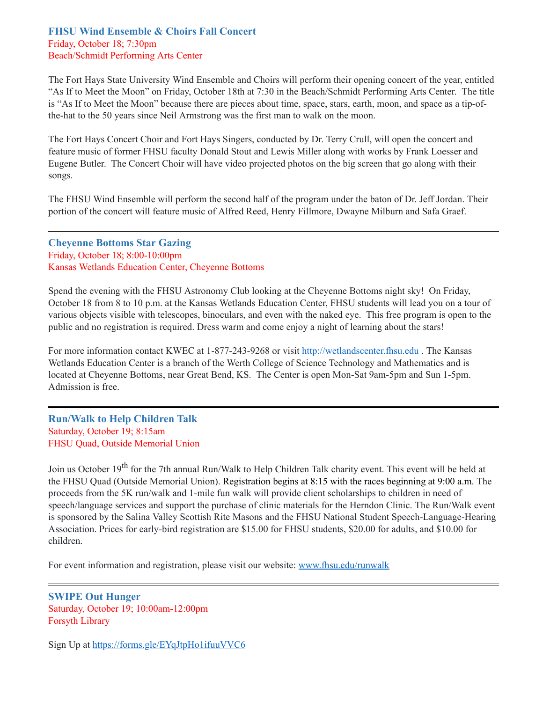#### <span id="page-11-0"></span>**FHSU Wind Ensemble & Choirs Fall Concert** Friday, October 18; 7:30pm Beach/Schmidt Performing Arts Center

The Fort Hays State University Wind Ensemble and Choirs will perform their opening concert of the year, entitled "As If to Meet the Moon" on Friday, October 18th at 7:30 in the Beach/Schmidt Performing Arts Center. The title is "As If to Meet the Moon" because there are pieces about time, space, stars, earth, moon, and space as a tip-ofthe-hat to the 50 years since Neil Armstrong was the first man to walk on the moon.

The Fort Hays Concert Choir and Fort Hays Singers, conducted by Dr. Terry Crull, will open the concert and feature music of former FHSU faculty Donald Stout and Lewis Miller along with works by Frank Loesser and Eugene Butler. The Concert Choir will have video projected photos on the big screen that go along with their songs.

The FHSU Wind Ensemble will perform the second half of the program under the baton of Dr. Jeff Jordan. Their portion of the concert will feature music of Alfred Reed, Henry Fillmore, Dwayne Milburn and Safa Graef.

### <span id="page-11-1"></span>**Cheyenne Bottoms Star Gazing** Friday, October 18; 8:00-10:00pm Kansas Wetlands Education Center, Cheyenne Bottoms

Spend the evening with the FHSU Astronomy Club looking at the Cheyenne Bottoms night sky! On Friday, October 18 from 8 to 10 p.m. at the Kansas Wetlands Education Center, FHSU students will lead you on a tour of various objects visible with telescopes, binoculars, and even with the naked eye. This free program is open to the public and no registration is required. Dress warm and come enjoy a night of learning about the stars!

For more information contact KWEC at 1-877-243-9268 or visit [http://wetlandscenter.fhsu.edu](http://wetlandscenter.fhsu.edu/) . The Kansas Wetlands Education Center is a branch of the Werth College of Science Technology and Mathematics and is located at Cheyenne Bottoms, near Great Bend, KS. The Center is open Mon-Sat 9am-5pm and Sun 1-5pm. Admission is free.

### <span id="page-11-2"></span>**Run/Walk to Help Children Talk** Saturday, October 19; 8:15am FHSU Quad, Outside Memorial Union

Join us October 19<sup>th</sup> for the 7th annual Run/Walk to Help Children Talk charity event. This event will be held at the FHSU Quad (Outside Memorial Union). Registration begins at 8:15 with the races beginning at 9:00 a.m. The proceeds from the 5K run/walk and 1-mile fun walk will provide client scholarships to children in need of speech/language services and support the purchase of clinic materials for the Herndon Clinic. The Run/Walk event is sponsored by the Salina Valley Scottish Rite Masons and the FHSU National Student Speech-Language-Hearing Association. Prices for early-bird registration are \$15.00 for FHSU students, \$20.00 for adults, and \$10.00 for children.

For event information and registration, please visit our website: [www.fhsu.edu/runwalk](http://www.fhsu.edu/runwalk)

#### <span id="page-11-3"></span>**SWIPE Out Hunger** Saturday, October 19; 10:00am-12:00pm Forsyth Library

Sign Up at <https://forms.gle/EYqJtpHo1ifuuVVC6>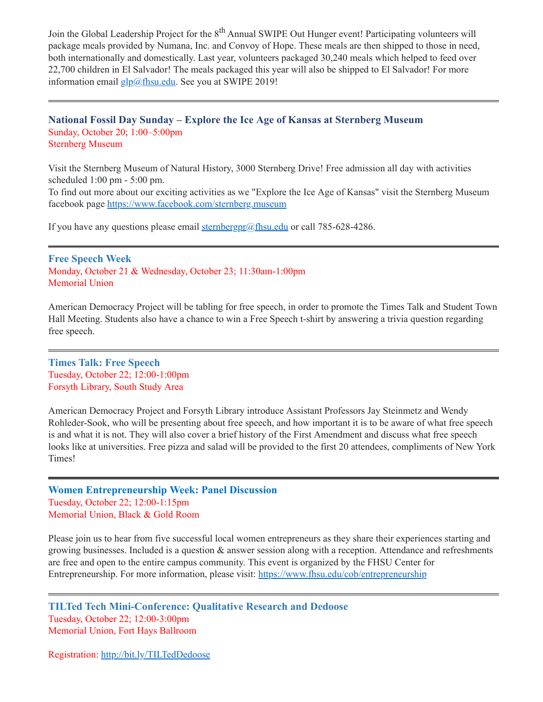Join the Global Leadership Project for the 8<sup>th</sup> Annual SWIPE Out Hunger event! Participating volunteers will package meals provided by Numana, Inc. and Convoy of Hope. These meals are then shipped to those in need, both internationally and domestically. Last year, volunteers packaged 30,240 meals which helped to feed over 22,700 children in El Salvador! The meals packaged this year will also be shipped to El Salvador! For more information email [glp@fhsu.edu](mailto:glp@fhsu.edu). See you at SWIPE 2019!

### <span id="page-12-0"></span>**National Fossil Day Sunday – Explore the Ice Age of Kansas at Sternberg Museum** Sunday, October 20; 1:00–5:00pm Sternberg Museum

Visit the Sternberg Museum of Natural History, 3000 Sternberg Drive! Free admission all day with activities scheduled 1:00 pm - 5:00 pm.

To find out more about our exciting activities as we "Explore the Ice Age of Kansas" visit the Sternberg Museum facebook page <https://www.facebook.com/sternberg.museum>

If you have any questions please email sternberg  $p_0$  f hsu. edu or call 785-628-4286.

<span id="page-12-1"></span>**Free Speech Week** Monday, October 21 & Wednesday, October 23; 11:30am-1:00pm Memorial Union

American Democracy Project will be tabling for free speech, in order to promote the Times Talk and Student Town Hall Meeting. Students also have a chance to win a Free Speech t-shirt by answering a trivia question regarding free speech.

<span id="page-12-2"></span>**Times Talk: Free Speech** Tuesday, October 22; 12:00-1:00pm Forsyth Library, South Study Area

American Democracy Project and Forsyth Library introduce Assistant Professors Jay Steinmetz and Wendy Rohleder-Sook, who will be presenting about free speech, and how important it is to be aware of what free speech is and what it is not. They will also cover a brief history of the First Amendment and discuss what free speech looks like at universities. Free pizza and salad will be provided to the first 20 attendees, compliments of New York Times!

<span id="page-12-3"></span>**Women Entrepreneurship Week: Panel Discussion** Tuesday, October 22; 12:00-1:15pm Memorial Union, Black & Gold Room

Please join us to hear from five successful local women entrepreneurs as they share their experiences starting and growing businesses. Included is a question & answer session along with a reception. Attendance and refreshments are free and open to the entire campus community. This event is organized by the FHSU Center for Entrepreneurship. For more information, please visit: <https://www.fhsu.edu/cob/entrepreneurship>

<span id="page-12-4"></span>**TILTed Tech Mini-Conference: Qualitative Research and Dedoose** Tuesday, October 22; 12:00-3:00pm Memorial Union, Fort Hays Ballroom

Registration: <http://bit.ly/TILTedDedoose>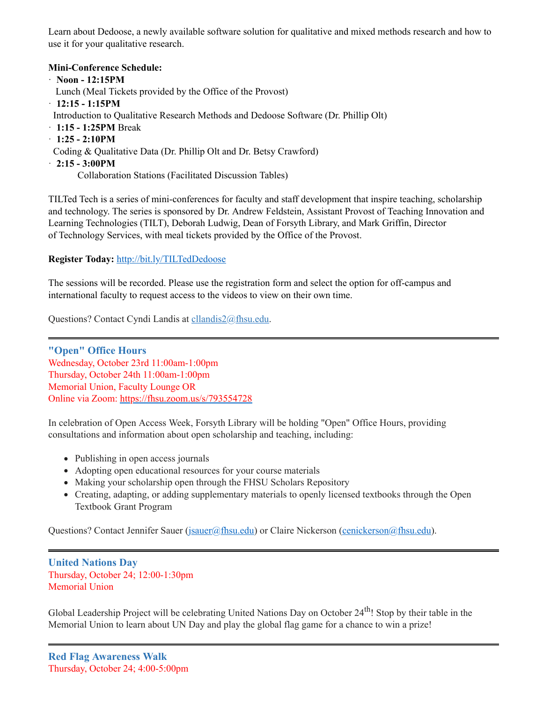Learn about Dedoose, a newly available software solution for qualitative and mixed methods research and how to use it for your qualitative research.

#### **Mini-Conference Schedule:**

- · **Noon - 12:15PM**
- Lunch (Meal Tickets provided by the Office of the Provost)
- · **12:15 - 1:15PM**
- Introduction to Qualitative Research Methods and Dedoose Software (Dr. Phillip Olt)
- · **1:15 - 1:25PM** Break
- · **1:25 - 2:10PM**
- Coding & Qualitative Data (Dr. Phillip Olt and Dr. Betsy Crawford)
- · **2:15 - 3:00PM**

Collaboration Stations (Facilitated Discussion Tables)

TILTed Tech is a series of mini-conferences for faculty and staff development that inspire teaching, scholarship and technology. The series is sponsored by Dr. Andrew Feldstein, Assistant Provost of Teaching Innovation and Learning Technologies (TILT), Deborah Ludwig, Dean of Forsyth Library, and Mark Griffin, Director of Technology Services, with meal tickets provided by the Office of the Provost.

### **Register Today:** <http://bit.ly/TILTedDedoose>

The sessions will be recorded. Please use the registration form and select the option for off-campus and international faculty to request access to the videos to view on their own time.

Questions? Contact Cyndi Landis at [cllandis2@fhsu.edu.](mailto:cllandis2@fhsu.edu)

<span id="page-13-0"></span>**"Open" Office Hours** Wednesday, October 23rd 11:00am-1:00pm Thursday, October 24th 11:00am-1:00pm Memorial Union, Faculty Lounge OR Online via Zoom: <https://fhsu.zoom.us/s/793554728>

In celebration of Open Access Week, Forsyth Library will be holding "Open" Office Hours, providing consultations and information about open scholarship and teaching, including:

- Publishing in open access journals
- Adopting open educational resources for your course materials
- Making your scholarship open through the FHSU Scholars Repository
- Creating, adapting, or adding supplementary materials to openly licensed textbooks through the Open Textbook Grant Program

Questions? Contact Jennifer Sauer ([jsauer@fhsu.edu](mailto:jsauer@fhsu.edu)) or Claire Nickerson [\(cenickerson@fhsu.edu\)](mailto:cenickerson@fhsu.edu).

### <span id="page-13-1"></span>**United Nations Day** Thursday, October 24; 12:00-1:30pm Memorial Union

<span id="page-13-2"></span>Global Leadership Project will be celebrating United Nations Day on October 24<sup>th</sup>! Stop by their table in the Memorial Union to learn about UN Day and play the global flag game for a chance to win a prize!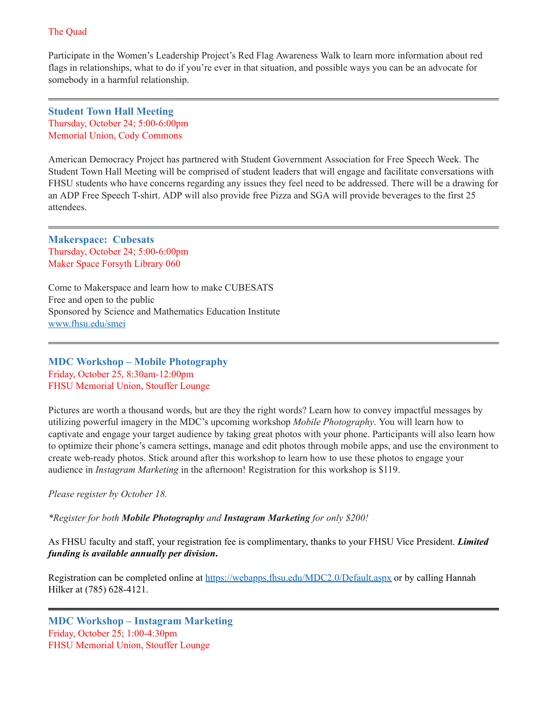### The Quad

Participate in the Women's Leadership Project's Red Flag Awareness Walk to learn more information about red flags in relationships, what to do if you're ever in that situation, and possible ways you can be an advocate for somebody in a harmful relationship.

<span id="page-14-0"></span>**Student Town Hall Meeting** Thursday, October 24; 5:00-6:00pm Memorial Union, Cody Commons

American Democracy Project has partnered with Student Government Association for Free Speech Week. The Student Town Hall Meeting will be comprised of student leaders that will engage and facilitate conversations with FHSU students who have concerns regarding any issues they feel need to be addressed. There will be a drawing for an ADP Free Speech T-shirt. ADP will also provide free Pizza and SGA will provide beverages to the first 25 attendees.

<span id="page-14-1"></span>**Makerspace: Cubesats** Thursday, October 24; 5:00-6:00pm Maker Space Forsyth Library 060

Come to Makerspace and learn how to make CUBESATS Free and open to the public Sponsored by Science and Mathematics Education Institute [www.fhsu.edu/smei](http://www.fhsu.edu/smei)

<span id="page-14-2"></span>**MDC Workshop – Mobile Photography** Friday, October 25, 8:30am-12:00pm FHSU Memorial Union, Stouffer Lounge

Pictures are worth a thousand words, but are they the right words? Learn how to convey impactful messages by utilizing powerful imagery in the MDC's upcoming workshop *Mobile Photography*. You will learn how to captivate and engage your target audience by taking great photos with your phone. Participants will also learn how to optimize their phone's camera settings, manage and edit photos through mobile apps, and use the environment to create web-ready photos. Stick around after this workshop to learn how to use these photos to engage your audience in *Instagram Marketing* in the afternoon! Registration for this workshop is \$119.

*Please register by October 18.*

*\*Register for both Mobile Photography and Instagram Marketing for only \$200!*

As FHSU faculty and staff, your registration fee is complimentary, thanks to your FHSU Vice President. *Limited funding is available annually per division***.**

Registration can be completed online at <https://webapps.fhsu.edu/MDC2.0/Default.aspx> or by calling Hannah Hilker at (785) 628-4121.

<span id="page-14-3"></span>**MDC Workshop – Instagram Marketing** Friday, October 25; 1:00-4:30pm FHSU Memorial Union, Stouffer Lounge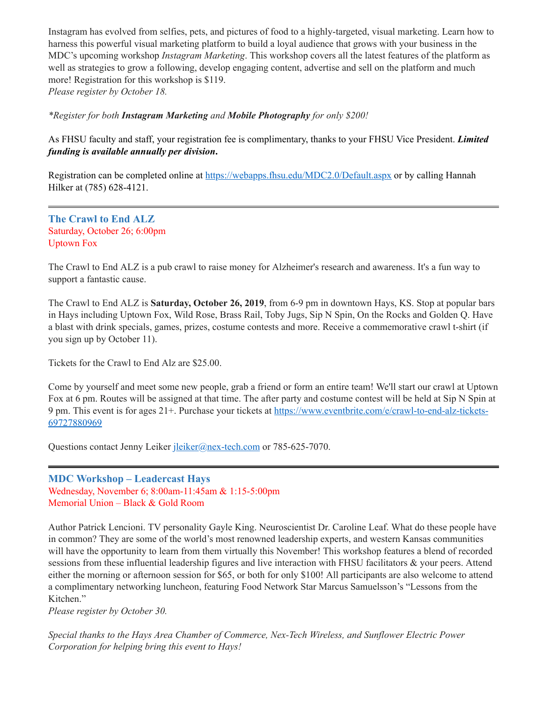Instagram has evolved from selfies, pets, and pictures of food to a highly-targeted, visual marketing. Learn how to harness this powerful visual marketing platform to build a loyal audience that grows with your business in the MDC's upcoming workshop *Instagram Marketing*. This workshop covers all the latest features of the platform as well as strategies to grow a following, develop engaging content, advertise and sell on the platform and much more! Registration for this workshop is \$119. *Please register by October 18.*

*\*Register for both Instagram Marketing and Mobile Photography for only \$200!*

As FHSU faculty and staff, your registration fee is complimentary, thanks to your FHSU Vice President. *Limited funding is available annually per division***.**

Registration can be completed online at <https://webapps.fhsu.edu/MDC2.0/Default.aspx> or by calling Hannah Hilker at (785) 628-4121.

<span id="page-15-0"></span>**The Crawl to End ALZ** Saturday, October 26; 6:00pm Uptown Fox

The Crawl to End ALZ is a pub crawl to raise money for Alzheimer's research and awareness. It's a fun way to support a fantastic cause.

The Crawl to End ALZ is **Saturday, October 26, 2019**, from 6-9 pm in downtown Hays, KS. Stop at popular bars in Hays including Uptown Fox, Wild Rose, Brass Rail, Toby Jugs, Sip N Spin, On the Rocks and Golden Q. Have a blast with drink specials, games, prizes, costume contests and more. Receive a commemorative crawl t-shirt (if you sign up by October 11).

Tickets for the Crawl to End Alz are \$25.00.

Come by yourself and meet some new people, grab a friend or form an entire team! We'll start our crawl at Uptown Fox at 6 pm. Routes will be assigned at that time. The after party and costume contest will be held at Sip N Spin at 9 pm. This event is for ages 21+. Purchase your tickets at [https://www.eventbrite.com/e/crawl-to-end-alz-tickets-](https://www.eventbrite.com/e/crawl-to-end-alz-tickets-69727880969)69727880969

Questions contact Jenny Leiker <u>[jleiker@nex-tech.com](mailto:jleiker@nex-tech.com)</u> or 785-625-7070.

### <span id="page-15-1"></span>**MDC Workshop – Leadercast Hays**

Wednesday, November 6; 8:00am-11:45am & 1:15-5:00pm Memorial Union – Black & Gold Room

Author Patrick Lencioni. TV personality Gayle King. Neuroscientist Dr. Caroline Leaf. What do these people have in common? They are some of the world's most renowned leadership experts, and western Kansas communities will have the opportunity to learn from them virtually this November! This workshop features a blend of recorded sessions from these influential leadership figures and live interaction with FHSU facilitators & your peers. Attend either the morning or afternoon session for \$65, or both for only \$100! All participants are also welcome to attend a complimentary networking luncheon, featuring Food Network Star Marcus Samuelsson's "Lessons from the Kitchen."

*Please register by October 30.*

*Special thanks to the Hays Area Chamber of Commerce, Nex-Tech Wireless, and Sunflower Electric Power Corporation for helping bring this event to Hays!*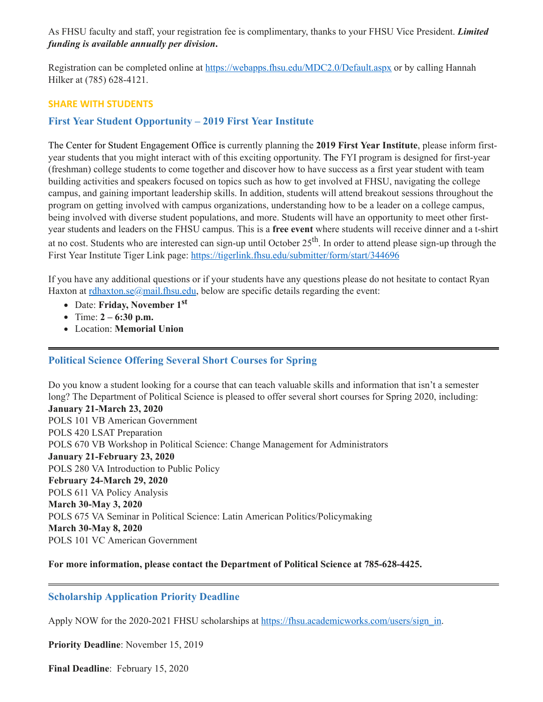As FHSU faculty and staff, your registration fee is complimentary, thanks to your FHSU Vice President. *Limited funding is available annually per division***.**

Registration can be completed online at <https://webapps.fhsu.edu/MDC2.0/Default.aspx> or by calling Hannah Hilker at (785) 628-4121.

#### **SHARE WITH STUDENTS**

### <span id="page-16-0"></span>**First Year Student Opportunity – 2019 First Year Institute**

The Center for Student Engagement Office is currently planning the **2019 First Year Institute**, please inform firstyear students that you might interact with of this exciting opportunity. The FYI program is designed for first-year (freshman) college students to come together and discover how to have success as a first year student with team building activities and speakers focused on topics such as how to get involved at FHSU, navigating the college campus, and gaining important leadership skills. In addition, students will attend breakout sessions throughout the program on getting involved with campus organizations, understanding how to be a leader on a college campus, being involved with diverse student populations, and more. Students will have an opportunity to meet other firstyear students and leaders on the FHSU campus. This is a **free event** where students will receive dinner and a t-shirt at no cost. Students who are interested can sign-up until October 25<sup>th</sup>. In order to attend please sign-up through the First Year Institute Tiger Link page: <https://tigerlink.fhsu.edu/submitter/form/start/344696>

If you have any additional questions or if your students have any questions please do not hesitate to contact Ryan Haxton at [rdhaxton.se@mail.fhsu.edu](mailto:rdhaxton.se@mail.fhsu.edu), below are specific details regarding the event:

- Date: **Friday, November 1 st**
- Time: **2 – 6:30 p.m.**
- <span id="page-16-1"></span>Location: **Memorial Union**

### **Political Science Offering Several Short Courses for Spring**

Do you know a student looking for a course that can teach valuable skills and information that isn't a semester long? The Department of Political Science is pleased to offer several short courses for Spring 2020, including: **January 21-March 23, 2020** POLS 101 VB American Government POLS 420 LSAT Preparation POLS 670 VB Workshop in Political Science: Change Management for Administrators **January 21-February 23, 2020** POLS 280 VA Introduction to Public Policy **February 24-March 29, 2020** POLS 611 VA Policy Analysis **March 30-May 3, 2020** POLS 675 VA Seminar in Political Science: Latin American Politics/Policymaking **March 30-May 8, 2020** POLS 101 VC American Government

#### **For more information, please contact the Department of Political Science at 785-628-4425.**

#### <span id="page-16-2"></span>**Scholarship Application Priority Deadline**

Apply NOW for the 2020-2021 FHSU scholarships at [https://fhsu.academicworks.com/users/sign\\_in.](https://fhsu.academicworks.com/users/sign_in)

**Priority Deadline**: November 15, 2019

**Final Deadline**: February 15, 2020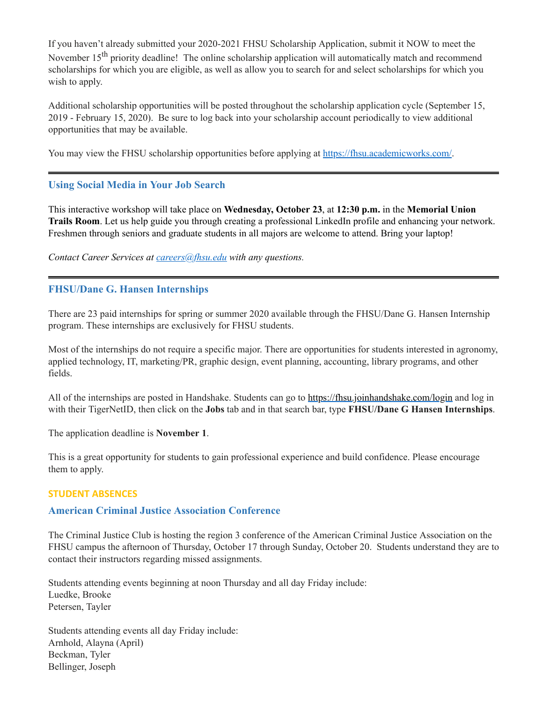If you haven't already submitted your 2020-2021 FHSU Scholarship Application, submit it NOW to meet the November 15<sup>th</sup> priority deadline! The online scholarship application will automatically match and recommend scholarships for which you are eligible, as well as allow you to search for and select scholarships for which you wish to apply.

Additional scholarship opportunities will be posted throughout the scholarship application cycle (September 15, 2019 - February 15, 2020). Be sure to log back into your scholarship account periodically to view additional opportunities that may be available.

You may view the FHSU scholarship opportunities before applying at [https://fhsu.academicworks.com/.](https://fhsu.academicworks.com/)

# <span id="page-17-0"></span>**Using Social Media in Your Job Search**

This interactive workshop will take place on **Wednesday, October 23**, at **12:30 p.m.** in the **Memorial Union Trails Room**. Let us help guide you through creating a professional LinkedIn profile and enhancing your network. Freshmen through seniors and graduate students in all majors are welcome to attend. Bring your laptop!

*Contact Career Services at [careers@fhsu.edu](mailto:careers@fhsu.edu) with any questions.*

# <span id="page-17-1"></span>**FHSU/Dane G. Hansen Internships**

There are 23 paid internships for spring or summer 2020 available through the FHSU/Dane G. Hansen Internship program. These internships are exclusively for FHSU students.

Most of the internships do not require a specific major. There are opportunities for students interested in agronomy, applied technology, IT, marketing/PR, graphic design, event planning, accounting, library programs, and other fields.

All of the internships are posted in Handshake. Students can go to <https://fhsu.joinhandshake.com/login> and log in with their TigerNetID, then click on the **Jobs** tab and in that search bar, type **FHSU/Dane G Hansen Internships**.

The application deadline is **November 1**.

This is a great opportunity for students to gain professional experience and build confidence. Please encourage them to apply.

### **STUDENT ABSENCES**

### <span id="page-17-2"></span>**American Criminal Justice Association Conference**

The Criminal Justice Club is hosting the region 3 conference of the American Criminal Justice Association on the FHSU campus the afternoon of Thursday, October 17 through Sunday, October 20. Students understand they are to contact their instructors regarding missed assignments.

Students attending events beginning at noon Thursday and all day Friday include: Luedke, Brooke Petersen, Tayler

Students attending events all day Friday include: Arnhold, Alayna (April) Beckman, Tyler Bellinger, Joseph